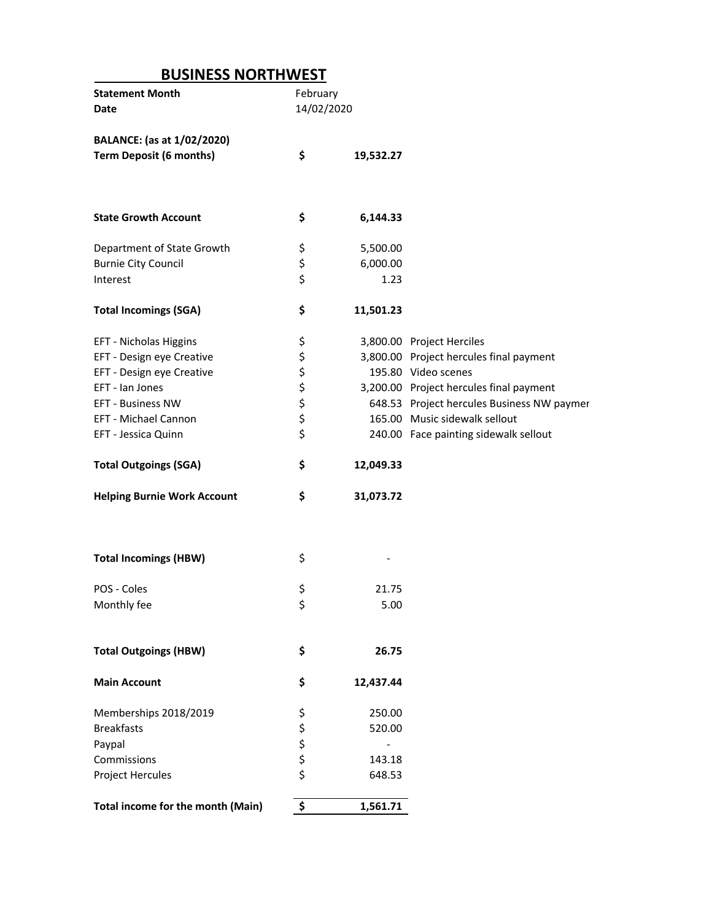## **BUSINESS NORTHWEST**

|                                    | February   |           |                                            |
|------------------------------------|------------|-----------|--------------------------------------------|
| Date                               | 14/02/2020 |           |                                            |
|                                    |            |           |                                            |
| BALANCE: (as at 1/02/2020)         |            |           |                                            |
| <b>Term Deposit (6 months)</b>     | \$         | 19,532.27 |                                            |
|                                    |            |           |                                            |
|                                    |            |           |                                            |
|                                    |            |           |                                            |
| <b>State Growth Account</b>        | \$         | 6,144.33  |                                            |
|                                    |            |           |                                            |
| Department of State Growth         | \$         | 5,500.00  |                                            |
| <b>Burnie City Council</b>         | \$         | 6,000.00  |                                            |
| Interest                           | \$         | 1.23      |                                            |
|                                    |            |           |                                            |
| <b>Total Incomings (SGA)</b>       | \$         | 11,501.23 |                                            |
|                                    |            |           |                                            |
| EFT - Nicholas Higgins             | \$         |           | 3,800.00 Project Herciles                  |
| EFT - Design eye Creative          |            |           | 3,800.00 Project hercules final payment    |
| EFT - Design eye Creative          | \$\$\$     |           | 195.80 Video scenes                        |
| EFT - Ian Jones                    |            |           | 3,200.00 Project hercules final payment    |
|                                    |            |           |                                            |
| <b>EFT - Business NW</b>           | \$\$\$     |           | 648.53 Project hercules Business NW paymer |
| EFT - Michael Cannon               |            |           | 165.00 Music sidewalk sellout              |
| EFT - Jessica Quinn                |            |           | 240.00 Face painting sidewalk sellout      |
|                                    |            |           |                                            |
| <b>Total Outgoings (SGA)</b>       | \$         | 12,049.33 |                                            |
|                                    |            |           |                                            |
|                                    |            |           |                                            |
| <b>Helping Burnie Work Account</b> | \$         | 31,073.72 |                                            |
|                                    |            |           |                                            |
|                                    |            |           |                                            |
|                                    |            |           |                                            |
| <b>Total Incomings (HBW)</b>       | \$         |           |                                            |
|                                    |            |           |                                            |
| POS - Coles                        | \$         | 21.75     |                                            |
| Monthly fee                        | \$         | 5.00      |                                            |
|                                    |            |           |                                            |
|                                    |            |           |                                            |
| <b>Total Outgoings (HBW)</b>       | \$         | 26.75     |                                            |
|                                    |            |           |                                            |
| <b>Main Account</b>                | \$         | 12,437.44 |                                            |
|                                    |            |           |                                            |
| Memberships 2018/2019              | \$         | 250.00    |                                            |
| <b>Breakfasts</b>                  |            | 520.00    |                                            |
| Paypal                             |            |           |                                            |
| Commissions                        |            | 143.18    |                                            |
| Project Hercules                   | ちゃかる       | 648.53    |                                            |
| Total income for the month (Main)  | \$         | 1,561.71  |                                            |